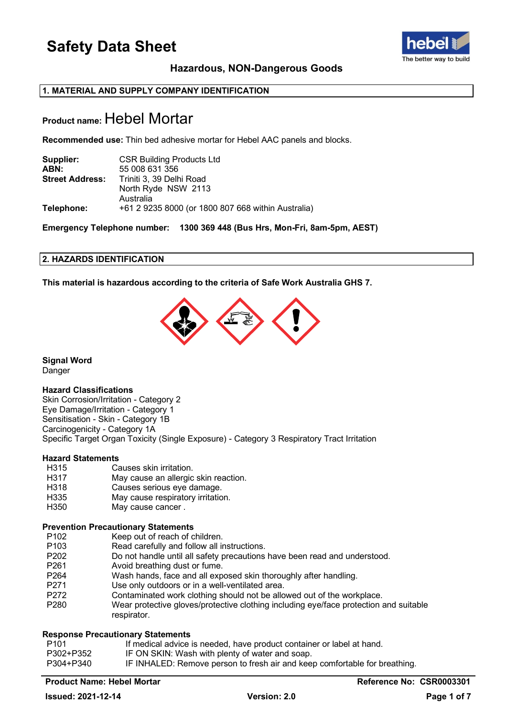

### **Hazardous, NON-Dangerous Goods**

### **1. MATERIAL AND SUPPLY COMPANY IDENTIFICATION**

### **Product name:** Hebel Mortar

**Recommended use:** Thin bed adhesive mortar for Hebel AAC panels and blocks.

| Supplier:              | <b>CSR Building Products Ltd</b>                   |
|------------------------|----------------------------------------------------|
| ABN:                   | 55 008 631 356                                     |
| <b>Street Address:</b> | Triniti 3, 39 Delhi Road                           |
|                        | North Ryde NSW 2113                                |
|                        | Australia                                          |
| Telephone:             | +61 2 9235 8000 (or 1800 807 668 within Australia) |

**Emergency Telephone number: 1300 369 448 (Bus Hrs, Mon-Fri, 8am-5pm, AEST)**

### **2. HAZARDS IDENTIFICATION**

**This material is hazardous according to the criteria of Safe Work Australia GHS 7.**



**Signal Word** Danger

### **Hazard Classifications**

Skin Corrosion/Irritation - Category 2 Eye Damage/Irritation - Category 1 Sensitisation - Skin - Category 1B Carcinogenicity - Category 1A Specific Target Organ Toxicity (Single Exposure) - Category 3 Respiratory Tract Irritation

## **Hazard Statements**

- H315 Causes skin irritation.<br>H317 May cause an allergic
- H317 May cause an allergic skin reaction.<br>H318 Causes serious eve damage.
- H318 Causes serious eye damage.<br>H335 May cause respiratory irritation
- H335 May cause respiratory irritation.<br>H350 May cause cancer .
- May cause cancer .

## **Prevention Precautionary Statements**

- P102 Keep out of reach of children.<br>P103 Read carefully and follow all in
- Read carefully and follow all instructions.
- P202 Do not handle until all safety precautions have been read and understood.<br>P261 Avoid breathing dust or fume.
- Avoid breathing dust or fume.
- P264 Wash hands, face and all exposed skin thoroughly after handling.
- P271 Use only outdoors or in a well-ventilated area.<br>P272 Contaminated work clothing should not be allo
- P272 Contaminated work clothing should not be allowed out of the workplace.<br>P280 Wear protective gloves/protective clothing including eve/face protection a
- Wear protective gloves/protective clothing including eye/face protection and suitable respirator.

### **Response Precautionary Statements**

| P101      | If medical advice is needed, have product container or label at hand.      |
|-----------|----------------------------------------------------------------------------|
| P302+P352 | IF ON SKIN: Wash with plenty of water and soap.                            |
| P304+P340 | IF INHALED: Remove person to fresh air and keep comfortable for breathing. |

### **Product Name: Hebel Mortar Reference No: CSR0003301**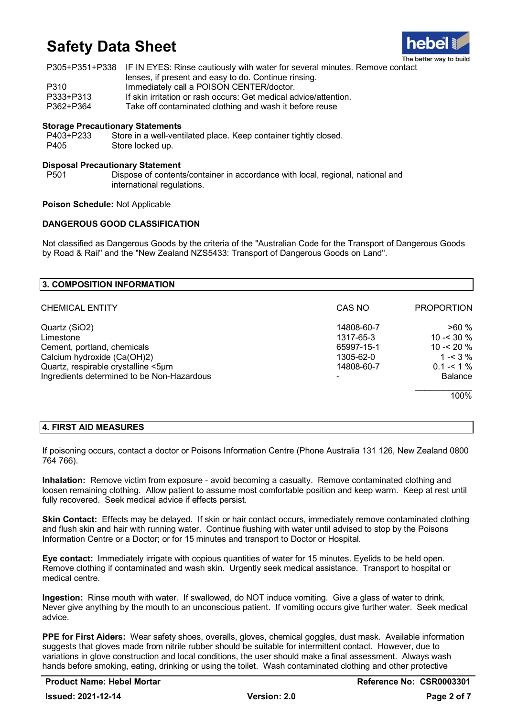

|           | P305+P351+P338 IF IN EYES: Rinse cautiously with water for several minutes. Remove contact |
|-----------|--------------------------------------------------------------------------------------------|
|           | lenses, if present and easy to do. Continue rinsing.                                       |
| P310      | Immediately call a POISON CENTER/doctor.                                                   |
| P333+P313 | If skin irritation or rash occurs: Get medical advice/attention.                           |
| P362+P364 | Take off contaminated clothing and wash it before reuse                                    |

### **Storage Precautionary Statements**

P403+P233 Store in a well-ventilated place. Keep container tightly closed. P405 Store locked up.

### **Disposal Precautionary Statement**

Dispose of contents/container in accordance with local, regional, national and international regulations.

### **Poison Schedule:** Not Applicable

### **DANGEROUS GOOD CLASSIFICATION**

Not classified as Dangerous Goods by the criteria of the "Australian Code for the Transport of Dangerous Goods by Road & Rail" and the "New Zealand NZS5433: Transport of Dangerous Goods on Land".

| <b>3. COMPOSITION INFORMATION</b>          |            |                   |
|--------------------------------------------|------------|-------------------|
| <b>CHEMICAL ENTITY</b>                     | CAS NO     | <b>PROPORTION</b> |
| Quartz (SiO2)                              | 14808-60-7 | >60%              |
| Limestone                                  | 1317-65-3  | $10 - 30 \%$      |
| Cement, portland, chemicals                | 65997-15-1 | 10 - $< 20 \%$    |
| Calcium hydroxide (Ca(OH)2)                | 1305-62-0  | 1 - $<$ 3 $\%$    |
| Quartz, respirable crystalline <5µm        | 14808-60-7 | $0.1 - 5.1 \%$    |
| Ingredients determined to be Non-Hazardous |            | <b>Balance</b>    |
|                                            |            | 100%              |

### **4. FIRST AID MEASURES**

If poisoning occurs, contact a doctor or Poisons Information Centre (Phone Australia 131 126, New Zealand 0800 764 766).

**Inhalation:** Remove victim from exposure - avoid becoming a casualty. Remove contaminated clothing and loosen remaining clothing. Allow patient to assume most comfortable position and keep warm. Keep at rest until fully recovered. Seek medical advice if effects persist.

**Skin Contact:** Effects may be delayed. If skin or hair contact occurs, immediately remove contaminated clothing and flush skin and hair with running water. Continue flushing with water until advised to stop by the Poisons Information Centre or a Doctor; or for 15 minutes and transport to Doctor or Hospital.

**Eye contact:** Immediately irrigate with copious quantities of water for 15 minutes. Eyelids to be held open. Remove clothing if contaminated and wash skin. Urgently seek medical assistance. Transport to hospital or medical centre.

**Ingestion:** Rinse mouth with water. If swallowed, do NOT induce vomiting. Give a glass of water to drink. Never give anything by the mouth to an unconscious patient. If vomiting occurs give further water. Seek medical advice.

**PPE for First Aiders:** Wear safety shoes, overalls, gloves, chemical goggles, dust mask. Available information suggests that gloves made from nitrile rubber should be suitable for intermittent contact. However, due to variations in glove construction and local conditions, the user should make a final assessment. Always wash hands before smoking, eating, drinking or using the toilet. Wash contaminated clothing and other protective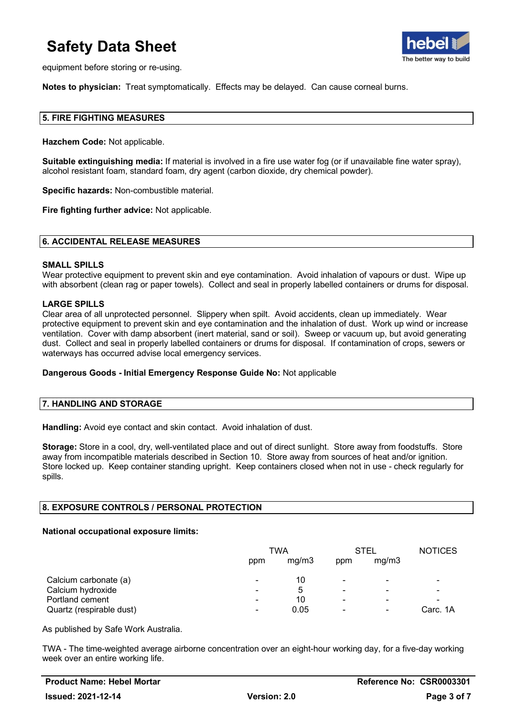

equipment before storing or re-using.

**Notes to physician:** Treat symptomatically. Effects may be delayed. Can cause corneal burns.

### **5. FIRE FIGHTING MEASURES**

**Hazchem Code:** Not applicable.

**Suitable extinguishing media:** If material is involved in a fire use water fog (or if unavailable fine water spray), alcohol resistant foam, standard foam, dry agent (carbon dioxide, dry chemical powder).

**Specific hazards:** Non-combustible material.

**Fire fighting further advice:** Not applicable.

### **6. ACCIDENTAL RELEASE MEASURES**

#### **SMALL SPILLS**

Wear protective equipment to prevent skin and eye contamination. Avoid inhalation of vapours or dust. Wipe up with absorbent (clean rag or paper towels). Collect and seal in properly labelled containers or drums for disposal.

### **LARGE SPILLS**

Clear area of all unprotected personnel. Slippery when spilt. Avoid accidents, clean up immediately. Wear protective equipment to prevent skin and eye contamination and the inhalation of dust. Work up wind or increase ventilation. Cover with damp absorbent (inert material, sand or soil). Sweep or vacuum up, but avoid generating dust. Collect and seal in properly labelled containers or drums for disposal. If contamination of crops, sewers or waterways has occurred advise local emergency services.

### **Dangerous Goods - Initial Emergency Response Guide No:** Not applicable

### **7. HANDLING AND STORAGE**

**Handling:** Avoid eye contact and skin contact. Avoid inhalation of dust.

**Storage:** Store in a cool, dry, well-ventilated place and out of direct sunlight. Store away from foodstuffs. Store away from incompatible materials described in Section 10. Store away from sources of heat and/or ignition. Store locked up. Keep container standing upright. Keep containers closed when not in use - check regularly for spills.

### **8. EXPOSURE CONTROLS / PERSONAL PROTECTION**

### **National occupational exposure limits:**

|                          | TWA            |       | STEL                     |                | <b>NOTICES</b> |
|--------------------------|----------------|-------|--------------------------|----------------|----------------|
|                          | ppm            | mg/m3 | ppm                      | mg/m3          |                |
| Calcium carbonate (a)    | -              | 10    | $\overline{\phantom{a}}$ | $\blacksquare$ |                |
| Calcium hydroxide        | ۰              | 5     | ۰                        | -              |                |
| Portland cement          | ۰              | 10    | -                        | ۰              |                |
| Quartz (respirable dust) | $\blacksquare$ | 0.05  |                          | $\blacksquare$ | Carc. 1A       |

As published by Safe Work Australia.

TWA - The time-weighted average airborne concentration over an eight-hour working day, for a five-day working week over an entire working life.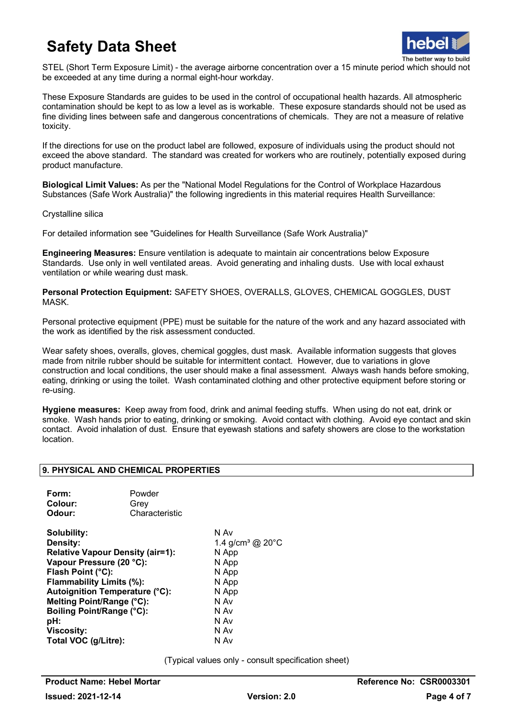

STEL (Short Term Exposure Limit) - the average airborne concentration over a 15 minute period which should not be exceeded at any time during a normal eight-hour workday.

These Exposure Standards are guides to be used in the control of occupational health hazards. All atmospheric contamination should be kept to as low a level as is workable. These exposure standards should not be used as fine dividing lines between safe and dangerous concentrations of chemicals. They are not a measure of relative toxicity.

If the directions for use on the product label are followed, exposure of individuals using the product should not exceed the above standard. The standard was created for workers who are routinely, potentially exposed during product manufacture.

**Biological Limit Values:** As per the "National Model Regulations for the Control of Workplace Hazardous Substances (Safe Work Australia)" the following ingredients in this material requires Health Surveillance:

Crystalline silica

For detailed information see "Guidelines for Health Surveillance (Safe Work Australia)"

**Engineering Measures:** Ensure ventilation is adequate to maintain air concentrations below Exposure Standards. Use only in well ventilated areas. Avoid generating and inhaling dusts. Use with local exhaust ventilation or while wearing dust mask.

**Personal Protection Equipment:** SAFETY SHOES, OVERALLS, GLOVES, CHEMICAL GOGGLES, DUST MASK.

Personal protective equipment (PPE) must be suitable for the nature of the work and any hazard associated with the work as identified by the risk assessment conducted.

Wear safety shoes, overalls, gloves, chemical goggles, dust mask. Available information suggests that gloves made from nitrile rubber should be suitable for intermittent contact. However, due to variations in glove construction and local conditions, the user should make a final assessment. Always wash hands before smoking, eating, drinking or using the toilet. Wash contaminated clothing and other protective equipment before storing or re-using.

**Hygiene measures:** Keep away from food, drink and animal feeding stuffs. When using do not eat, drink or smoke. Wash hands prior to eating, drinking or smoking. Avoid contact with clothing. Avoid eye contact and skin contact. Avoid inhalation of dust. Ensure that eyewash stations and safety showers are close to the workstation location.

### **9. PHYSICAL AND CHEMICAL PROPERTIES**

| Form:   | Powder         |
|---------|----------------|
| Colour: | Grev           |
| Odour:  | Characteristic |

**Solubility:** N Av **Relative Vapour Density (air=1):** N App **Vapour Pressure (20 °C):** N App **Flash Point (°C):** N App **Flammability Limits (%):** N App **Autoignition Temperature (°C):** N App **Melting Point/Range (°C):** N Av **Boiling Point/Range (°C): pH:** N Av **Viscosity:** N Av **Total VOC (g/Litre):** 

1.4 g/cm<sup>3</sup> @ 20°C

(Typical values only - consult specification sheet)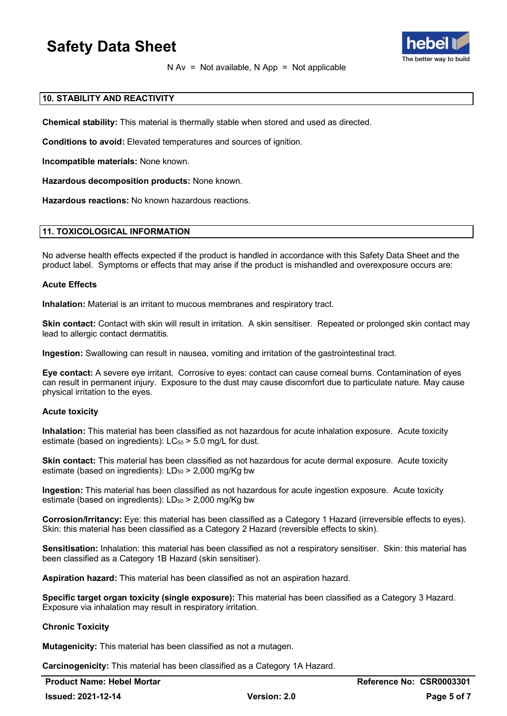

 $N Av = Not available, N App = Not applicable$ 

### **10. STABILITY AND REACTIVITY**

**Chemical stability:** This material is thermally stable when stored and used as directed.

**Conditions to avoid:** Elevated temperatures and sources of ignition.

**Incompatible materials:** None known.

**Hazardous decomposition products:** None known.

**Hazardous reactions:** No known hazardous reactions.

### **11. TOXICOLOGICAL INFORMATION**

No adverse health effects expected if the product is handled in accordance with this Safety Data Sheet and the product label. Symptoms or effects that may arise if the product is mishandled and overexposure occurs are:

### **Acute Effects**

**Inhalation:** Material is an irritant to mucous membranes and respiratory tract.

**Skin contact:** Contact with skin will result in irritation. A skin sensitiser. Repeated or prolonged skin contact may lead to allergic contact dermatitis.

**Ingestion:** Swallowing can result in nausea, vomiting and irritation of the gastrointestinal tract.

**Eye contact:** A severe eye irritant. Corrosive to eyes: contact can cause corneal burns. Contamination of eyes can result in permanent injury. Exposure to the dust may cause discomfort due to particulate nature. May cause physical irritation to the eyes.

### **Acute toxicity**

**Inhalation:** This material has been classified as not hazardous for acute inhalation exposure. Acute toxicity estimate (based on ingredients):  $LC_{50}$  > 5.0 mg/L for dust.

**Skin contact:** This material has been classified as not hazardous for acute dermal exposure. Acute toxicity estimate (based on ingredients):  $LD_{50}$  > 2,000 mg/Kg bw

**Ingestion:** This material has been classified as not hazardous for acute ingestion exposure. Acute toxicity estimate (based on ingredients):  $LD_{50}$  > 2,000 mg/Kg bw

**Corrosion/Irritancy:** Eye: this material has been classified as a Category 1 Hazard (irreversible effects to eyes). Skin: this material has been classified as a Category 2 Hazard (reversible effects to skin).

**Sensitisation:** Inhalation: this material has been classified as not a respiratory sensitiser. Skin: this material has been classified as a Category 1B Hazard (skin sensitiser).

**Aspiration hazard:** This material has been classified as not an aspiration hazard.

**Specific target organ toxicity (single exposure):** This material has been classified as a Category 3 Hazard. Exposure via inhalation may result in respiratory irritation.

### **Chronic Toxicity**

**Mutagenicity:** This material has been classified as not a mutagen.

**Carcinogenicity:** This material has been classified as a Category 1A Hazard.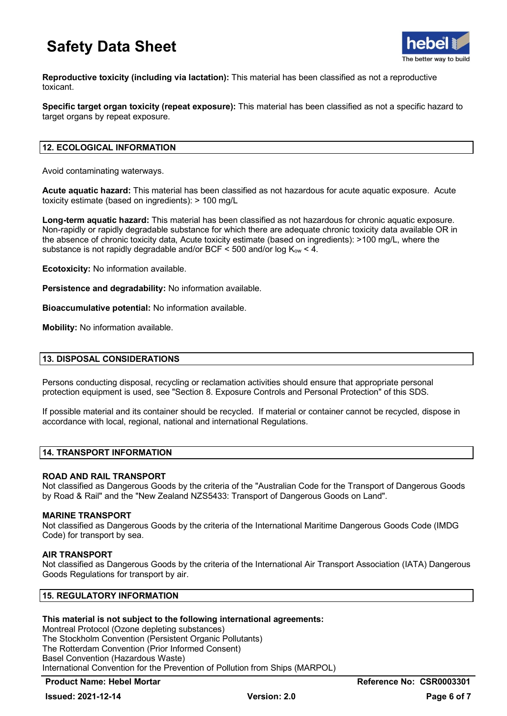

**Reproductive toxicity (including via lactation):** This material has been classified as not a reproductive toxicant.

**Specific target organ toxicity (repeat exposure):** This material has been classified as not a specific hazard to target organs by repeat exposure.

### **12. ECOLOGICAL INFORMATION**

Avoid contaminating waterways.

**Acute aquatic hazard:** This material has been classified as not hazardous for acute aquatic exposure. Acute toxicity estimate (based on ingredients): > 100 mg/L

**Long-term aquatic hazard:** This material has been classified as not hazardous for chronic aquatic exposure. Non-rapidly or rapidly degradable substance for which there are adequate chronic toxicity data available OR in the absence of chronic toxicity data, Acute toxicity estimate (based on ingredients): >100 mg/L, where the substance is not rapidly degradable and/or BCF  $\leq$  500 and/or log K<sub>ow</sub>  $\lt$  4.

**Ecotoxicity:** No information available.

**Persistence and degradability:** No information available.

**Bioaccumulative potential:** No information available.

**Mobility:** No information available.

### **13. DISPOSAL CONSIDERATIONS**

Persons conducting disposal, recycling or reclamation activities should ensure that appropriate personal protection equipment is used, see "Section 8. Exposure Controls and Personal Protection" of this SDS.

If possible material and its container should be recycled. If material or container cannot be recycled, dispose in accordance with local, regional, national and international Regulations.

### **14. TRANSPORT INFORMATION**

### **ROAD AND RAIL TRANSPORT**

Not classified as Dangerous Goods by the criteria of the "Australian Code for the Transport of Dangerous Goods by Road & Rail" and the "New Zealand NZS5433: Transport of Dangerous Goods on Land".

### **MARINE TRANSPORT**

Not classified as Dangerous Goods by the criteria of the International Maritime Dangerous Goods Code (IMDG Code) for transport by sea.

### **AIR TRANSPORT**

Not classified as Dangerous Goods by the criteria of the International Air Transport Association (IATA) Dangerous Goods Regulations for transport by air.

### **15. REGULATORY INFORMATION**

### **This material is not subject to the following international agreements:**

Montreal Protocol (Ozone depleting substances) The Stockholm Convention (Persistent Organic Pollutants) The Rotterdam Convention (Prior Informed Consent) Basel Convention (Hazardous Waste) International Convention for the Prevention of Pollution from Ships (MARPOL)

### **Product Name: Hebel Mortar Reference No: CSR0003301**